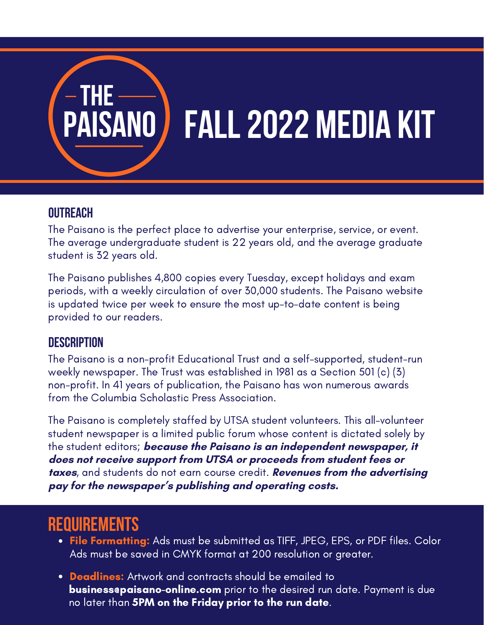# **THE PAISANO FAll2022 MEdia Kit**

### **OUTREACH**

The Paisano is the perfect place to advertise your enterprise, service, or event. The average undergraduate student is 22 years old, and the average graduate student is 32 years old.

The Paisano publishes 4,800 copies every Tuesday, except holidays and exam periods, with a weekly circulation of over 30,000 students. The Paisano website is updated twice per week to ensure the most up-to-date content is being provided to our readers.

### **Description**

The Paisano is a non-profit Educational Trust and a self-supported, student-run weekly newspaper. The Trust was established in 1981 as a Section 501 (c) (3) non-profit. In 41 years of publication, the Paisano has won numerous awards from the Columbia Scholastic Press Association.

The Paisano is completely staffed by UTSA student volunteers. This all-volunteer student newspaper is a limited public forum whose content is dictated solely by the student editors; **because the Paisano is an independent newspaper, it does not receive support from UTSA or proceeds from student fees or taxes**, and students do not earn course credit. **Revenues from the advertising pay for the newspaper's publishing and operating costs.**

### **REQUIREMENTS**

- **File Formatting:** Ads must be submitted as TIFF, JPEG, EPS, or PDF files. Color Ads must be saved in CMYK format at 200 resolution or greater.
- **Deadlines:** Artwork and contracts should be emailed to **business@paisano-online.com** prior to the desired run date. Payment is due no later than **5PM on the Friday prior to the run date**.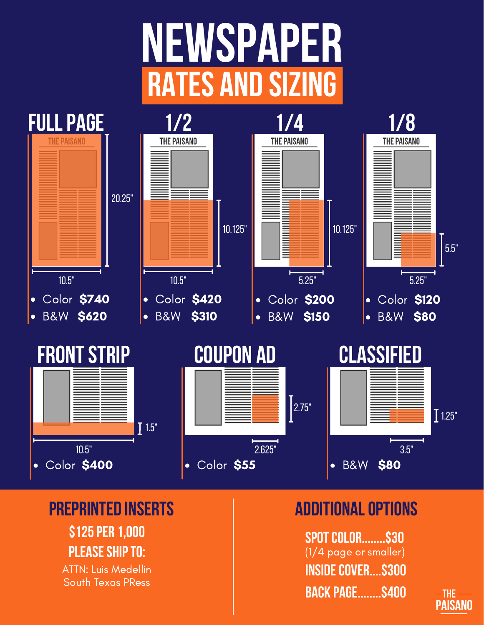## **NEWSPAPER Rates and Sizing**



### **Preprinted Inserts Additionaloptions**

**\$125per 1,000 PLEASE SHIP TO:** 

ATTN: Luis Medellin South Texas PRess

**SpotColor........\$30** (1/4 page or smaller) **INSIDE COVER....\$300 back Page........\$400**

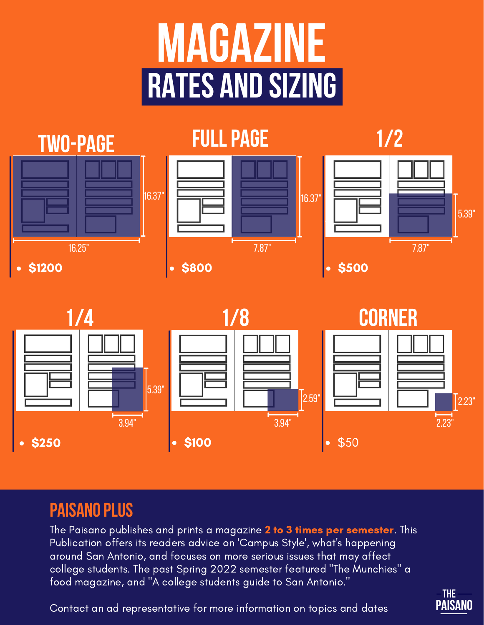# **Magazine Rates and Sizing**



### **PAISANO PLUS**

The Paisano publishes and prints a magazine 2 to 3 times per semester. This Publication offers its readers advice on 'Campus Style', what's happening around San Antonio, and focuses on more serious issues that may affect college students. The past Spring 2022 semester featured "The Munchies" a food magazine, and "A college students guide to San Antonio."



Contact an ad representative for more information on topics and dates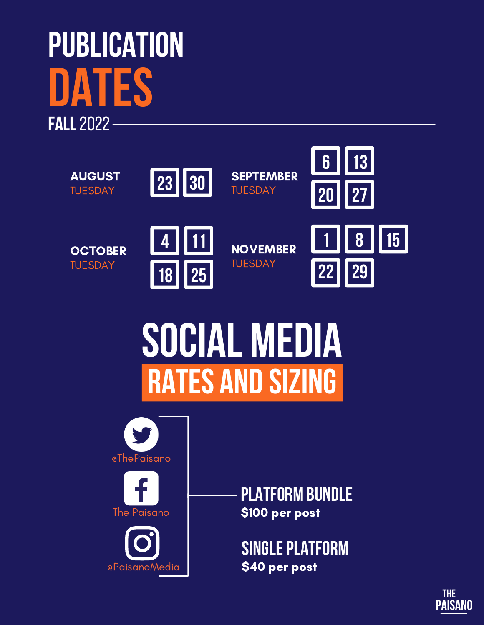### **Publication Dates FAll**2022



## **SOCIAL MEDIA Rates and Sizing**



**Platform Bundle** \$100 per post

**SINGLE PLATFORM** \$40 per post